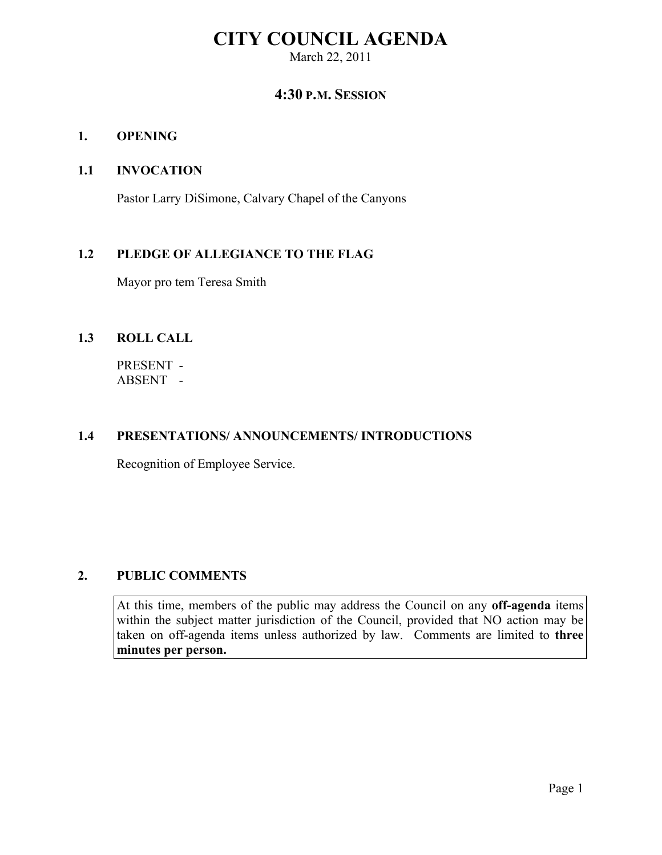March 22, 2011

## **4:30 P.M. SESSION**

## **1. OPENING**

## **1.1 INVOCATION**

Pastor Larry DiSimone, Calvary Chapel of the Canyons

### **1.2 PLEDGE OF ALLEGIANCE TO THE FLAG**

Mayor pro tem Teresa Smith

## **1.3 ROLL CALL**

PRESENT - ABSENT -

## **1.4 PRESENTATIONS/ ANNOUNCEMENTS/ INTRODUCTIONS**

Recognition of Employee Service.

## **2. PUBLIC COMMENTS**

At this time, members of the public may address the Council on any **off-agenda** items within the subject matter jurisdiction of the Council, provided that NO action may be taken on off-agenda items unless authorized by law. Comments are limited to **three minutes per person.**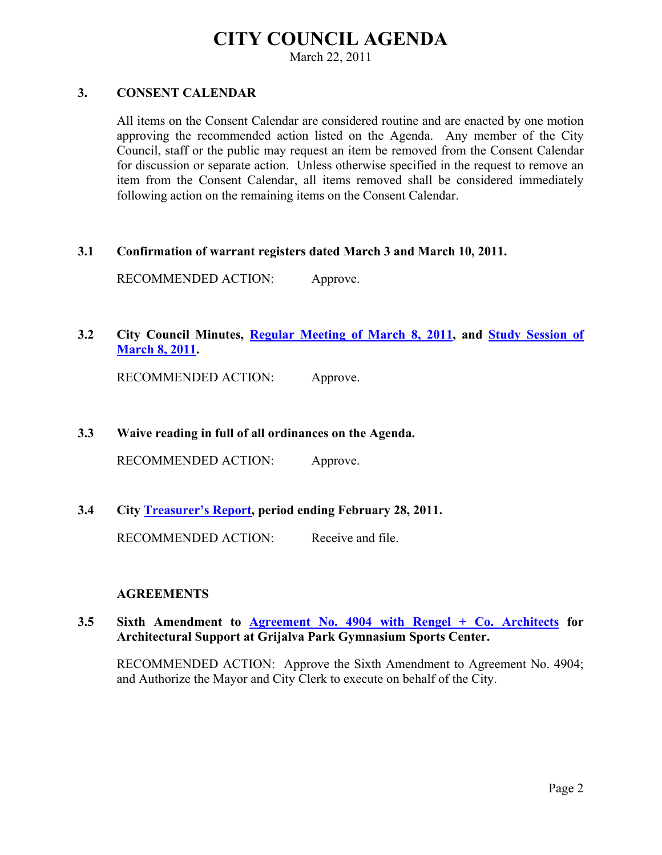March 22, 2011

## **3. CONSENT CALENDAR**

All items on the Consent Calendar are considered routine and are enacted by one motion approving the recommended action listed on the Agenda. Any member of the City Council, staff or the public may request an item be removed from the Consent Calendar for discussion or separate action. Unless otherwise specified in the request to remove an item from the Consent Calendar, all items removed shall be considered immediately following action on the remaining items on the Consent Calendar.

#### **3.1 Confirmation of warrant registers dated March 3 and March 10, 2011.**

RECOMMENDED ACTION: Approve.

## **3.2 City Council Minutes, Regular Meeting of March 8, 2011, and Study Session of March 8, 2011.**

RECOMMENDED ACTION: Approve.

**3.3 Waive reading in full of all ordinances on the Agenda.** 

RECOMMENDED ACTION: Approve.

**3.4 City Treasurer's Report, period ending February 28, 2011.** 

RECOMMENDED ACTION: Receive and file.

### **AGREEMENTS**

#### **3.5 Sixth Amendment to Agreement No. 4904 with Rengel + Co. Architects for Architectural Support at Grijalva Park Gymnasium Sports Center.**

RECOMMENDED ACTION: Approve the Sixth Amendment to Agreement No. 4904; and Authorize the Mayor and City Clerk to execute on behalf of the City.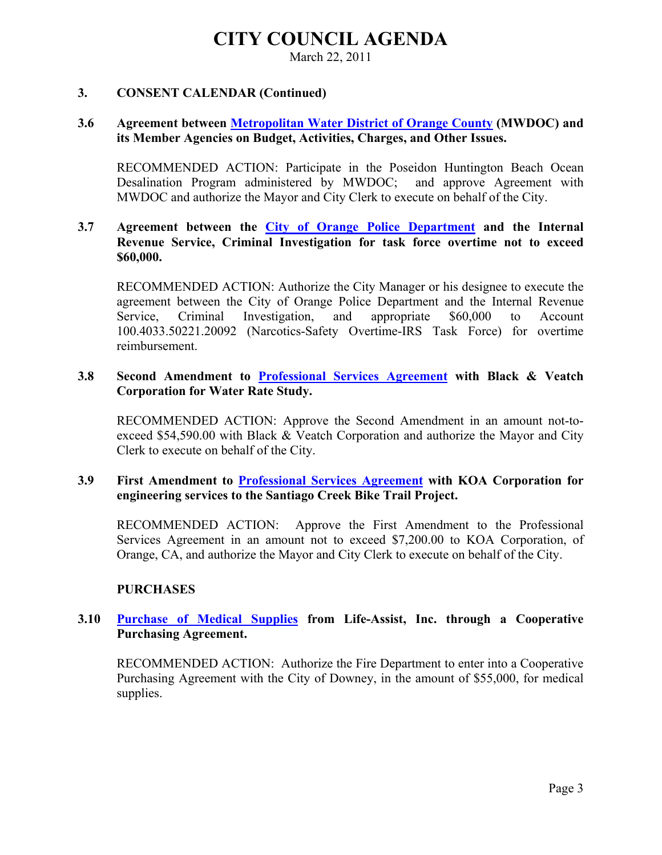March 22, 2011

### **3. CONSENT CALENDAR (Continued)**

### **3.6 Agreement between Metropolitan Water District of Orange County (MWDOC) and its Member Agencies on Budget, Activities, Charges, and Other Issues.**

RECOMMENDED ACTION: Participate in the Poseidon Huntington Beach Ocean Desalination Program administered by MWDOC; and approve Agreement with MWDOC and authorize the Mayor and City Clerk to execute on behalf of the City.

## **3.7 Agreement between the City of Orange Police Department and the Internal Revenue Service, Criminal Investigation for task force overtime not to exceed \$60,000.**

RECOMMENDED ACTION: Authorize the City Manager or his designee to execute the agreement between the City of Orange Police Department and the Internal Revenue Service, Criminal Investigation, and appropriate \$60,000 to Account 100.4033.50221.20092 (Narcotics-Safety Overtime-IRS Task Force) for overtime reimbursement.

### **3.8 Second Amendment to Professional Services Agreement with Black & Veatch Corporation for Water Rate Study.**

RECOMMENDED ACTION: Approve the Second Amendment in an amount not-toexceed \$54,590.00 with Black & Veatch Corporation and authorize the Mayor and City Clerk to execute on behalf of the City.

### **3.9 First Amendment to Professional Services Agreement with KOA Corporation for engineering services to the Santiago Creek Bike Trail Project.**

RECOMMENDED ACTION: Approve the First Amendment to the Professional Services Agreement in an amount not to exceed \$7,200.00 to KOA Corporation, of Orange, CA, and authorize the Mayor and City Clerk to execute on behalf of the City.

### **PURCHASES**

## **3.10 Purchase of Medical Supplies from Life-Assist, Inc. through a Cooperative Purchasing Agreement.**

RECOMMENDED ACTION:Authorize the Fire Department to enter into a Cooperative Purchasing Agreement with the City of Downey, in the amount of \$55,000, for medical supplies.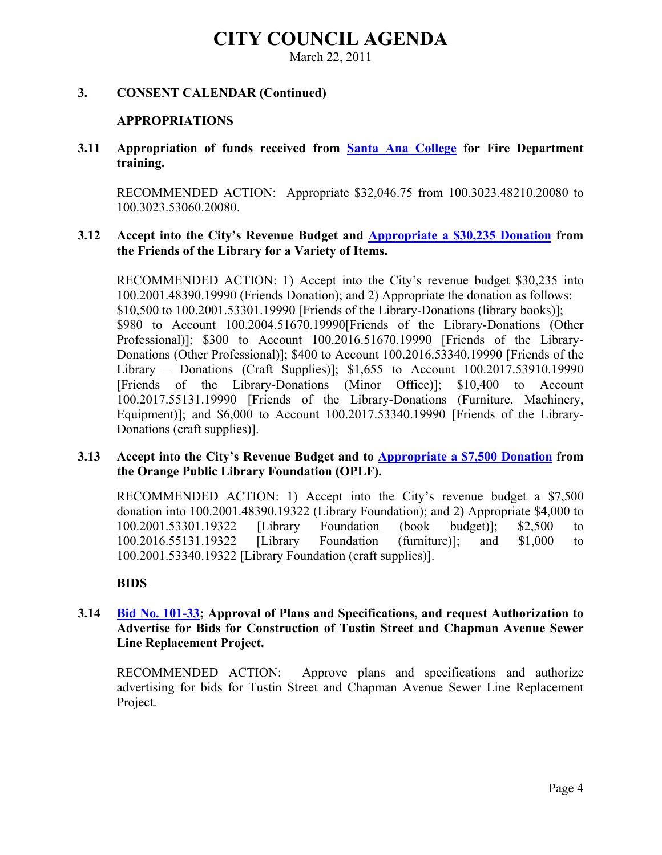March 22, 2011

## **3. CONSENT CALENDAR (Continued)**

### **APPROPRIATIONS**

**3.11 Appropriation of funds received from Santa Ana College for Fire Department training.** 

RECOMMENDED ACTION:Appropriate \$32,046.75 from 100.3023.48210.20080 to 100.3023.53060.20080.

### **3.12 Accept into the City's Revenue Budget and Appropriate a \$30,235 Donation from the Friends of the Library for a Variety of Items.**

RECOMMENDED ACTION: 1) Accept into the City's revenue budget \$30,235 into 100.2001.48390.19990 (Friends Donation); and 2) Appropriate the donation as follows: \$10,500 to 100.2001.53301.19990 [Friends of the Library-Donations (library books)]; \$980 to Account 100.2004.51670.19990[Friends of the Library-Donations (Other Professional)]; \$300 to Account 100.2016.51670.19990 [Friends of the Library-Donations (Other Professional)]; \$400 to Account 100.2016.53340.19990 [Friends of the Library – Donations (Craft Supplies)]; \$1,655 to Account 100.2017.53910.19990 [Friends of the Library-Donations (Minor Office)]; \$10,400 to Account 100.2017.55131.19990 [Friends of the Library-Donations (Furniture, Machinery, Equipment)]; and \$6,000 to Account 100.2017.53340.19990 [Friends of the Library-Donations (craft supplies)].

## **3.13 Accept into the City's Revenue Budget and to Appropriate a \$7,500 Donation from the Orange Public Library Foundation (OPLF).**

RECOMMENDED ACTION: 1) Accept into the City's revenue budget a \$7,500 donation into 100.2001.48390.19322 (Library Foundation); and 2) Appropriate \$4,000 to 100.2001.53301.19322 [Library Foundation (book budget)]; \$2,500 to 100.2016.55131.19322 [Library Foundation (furniture)]; and \$1,000 to 100.2001.53340.19322 [Library Foundation (craft supplies)].

### **BIDS**

## **3.14 Bid No. 101-33; Approval of Plans and Specifications, and request Authorization to Advertise for Bids for Construction of Tustin Street and Chapman Avenue Sewer Line Replacement Project.**

RECOMMENDED ACTION: Approve plans and specifications and authorize advertising for bids for Tustin Street and Chapman Avenue Sewer Line Replacement Project.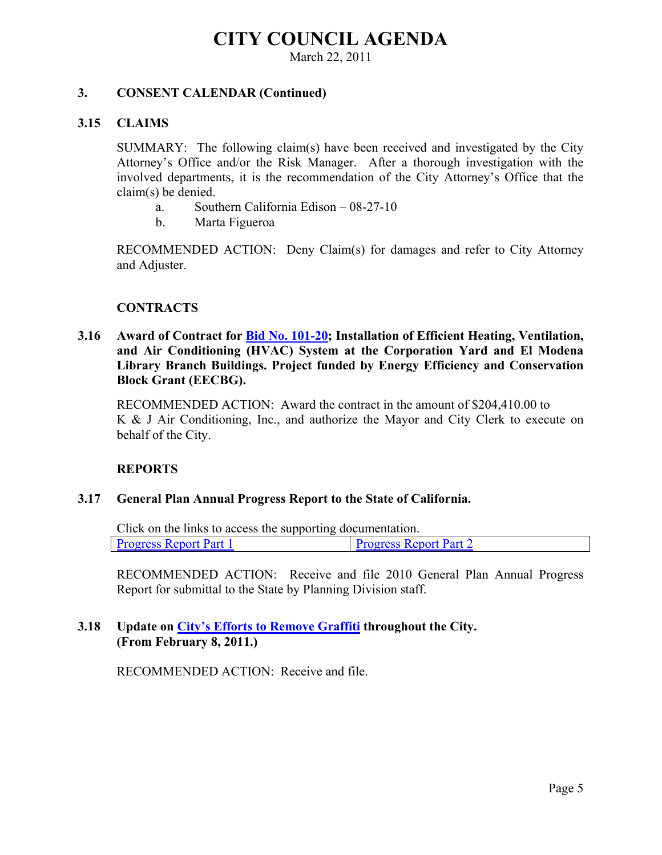March 22, 2011

## **3. CONSENT CALENDAR (Continued)**

### **3.15 CLAIMS**

SUMMARY: The following claim(s) have been received and investigated by the City Attorney's Office and/or the Risk Manager. After a thorough investigation with the involved departments, it is the recommendation of the City Attorney's Office that the claim(s) be denied.

- a. Southern California Edison 08-27-10
- b. Marta Figueroa

RECOMMENDED ACTION: Deny Claim(s) for damages and refer to City Attorney and Adjuster.

### **CONTRACTS**

**3.16 Award of Contract for Bid No. 101-20; Installation of Efficient Heating, Ventilation, and Air Conditioning (HVAC) System at the Corporation Yard and El Modena Library Branch Buildings. Project funded by Energy Efficiency and Conservation Block Grant (EECBG).** 

RECOMMENDED ACTION: Award the contract in the amount of \$204,410.00 to K & J Air Conditioning, Inc., and authorize the Mayor and City Clerk to execute on behalf of the City.

### **REPORTS**

### **3.17 General Plan Annual Progress Report to the State of California.**

Click on the links to access the supporting documentation. Progress Report Part 1 Progress Report Part 2

RECOMMENDED ACTION: Receive and file 2010 General Plan Annual Progress Report for submittal to the State by Planning Division staff.

### **3.18 Update on City's Efforts to Remove Graffiti throughout the City. (From February 8, 2011.)**

RECOMMENDED ACTION: Receive and file.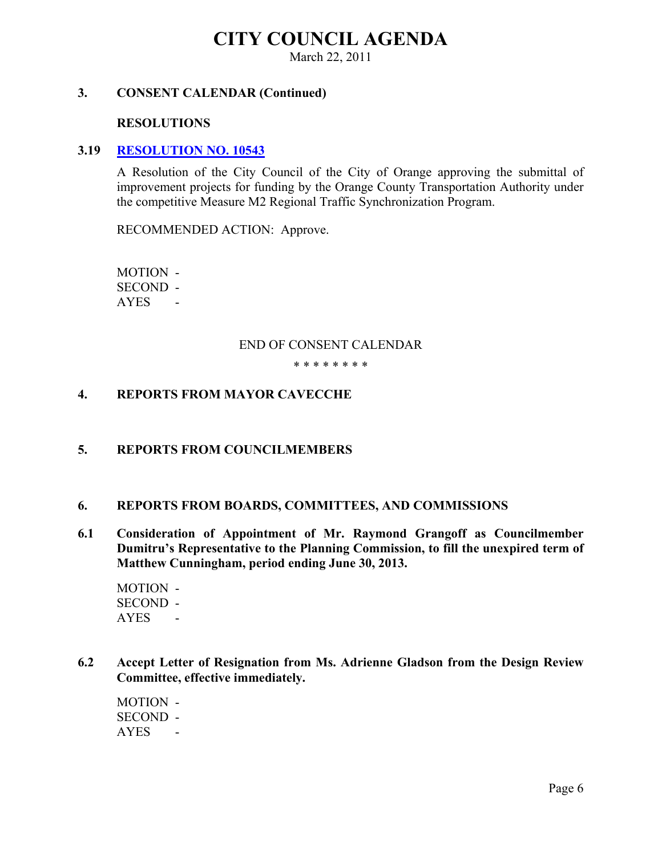March 22, 2011

## **3. CONSENT CALENDAR (Continued)**

### **RESOLUTIONS**

### **3.19 RESOLUTION NO. 10543**

A Resolution of the City Council of the City of Orange approving the submittal of improvement projects for funding by the Orange County Transportation Authority under the competitive Measure M2 Regional Traffic Synchronization Program.

RECOMMENDED ACTION: Approve.

MOTION - SECOND - AYES -

### END OF CONSENT CALENDAR

#### \* \* \* \* \* \* \* \*

### **4. REPORTS FROM MAYOR CAVECCHE**

### **5. REPORTS FROM COUNCILMEMBERS**

#### **6. REPORTS FROM BOARDS, COMMITTEES, AND COMMISSIONS**

**6.1 Consideration of Appointment of Mr. Raymond Grangoff as Councilmember Dumitru's Representative to the Planning Commission, to fill the unexpired term of Matthew Cunningham, period ending June 30, 2013.** 

MOTION - SECOND - AYES -

**6.2 Accept Letter of Resignation from Ms. Adrienne Gladson from the Design Review Committee, effective immediately.**

MOTION - SECOND - AYES -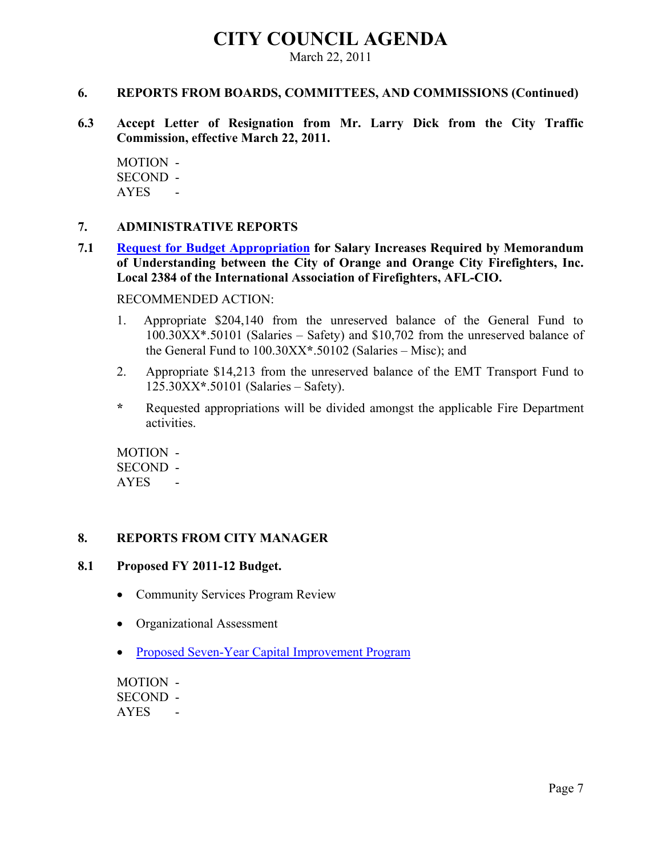March 22, 2011

### **6. REPORTS FROM BOARDS, COMMITTEES, AND COMMISSIONS (Continued)**

**6.3 Accept Letter of Resignation from Mr. Larry Dick from the City Traffic Commission, effective March 22, 2011.** 

MOTION - SECOND - AYES -

## **7. ADMINISTRATIVE REPORTS**

**7.1 Request for Budget Appropriation for Salary Increases Required by Memorandum of Understanding between the City of Orange and Orange City Firefighters, Inc. Local 2384 of the International Association of Firefighters, AFL-CIO.** 

RECOMMENDED ACTION:

- 1. Appropriate \$204,140 from the unreserved balance of the General Fund to 100.30XX\*.50101 (Salaries – Safety) and \$10,702 from the unreserved balance of the General Fund to 100.30XX**\***.50102 (Salaries – Misc); and
- 2. Appropriate \$14,213 from the unreserved balance of the EMT Transport Fund to 125.30XX**\***.50101 (Salaries – Safety).
- **\*** Requested appropriations will be divided amongst the applicable Fire Department activities.

MOTION - SECOND - AYES -

### **8. REPORTS FROM CITY MANAGER**

### **8.1 Proposed FY 2011-12 Budget.**

- Community Services Program Review
- Organizational Assessment
- Proposed Seven-Year Capital Improvement Program

MOTION - SECOND - AYES -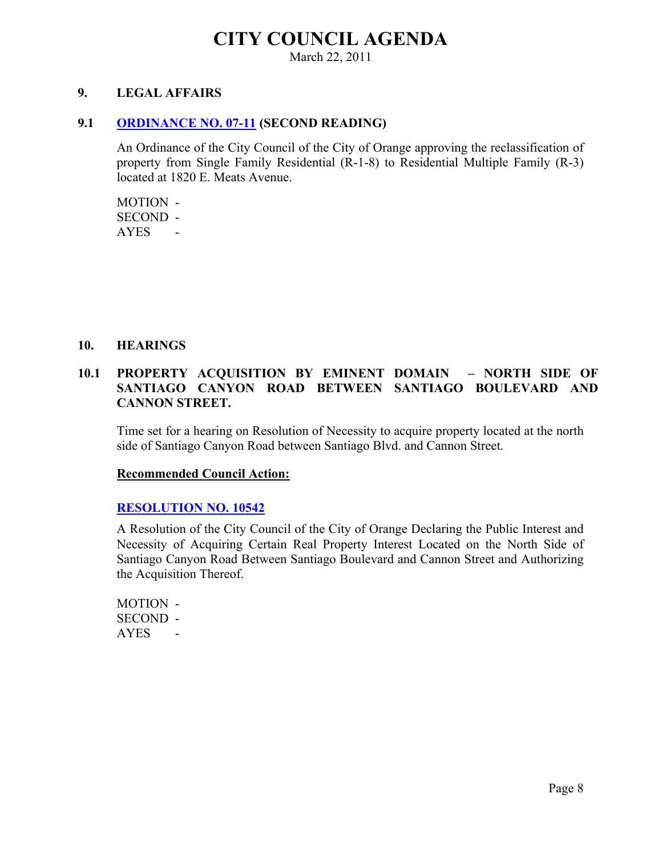March 22, 2011

### **9. LEGAL AFFAIRS**

#### **9.1 ORDINANCE NO. 07-11 (SECOND READING)**

An Ordinance of the City Council of the City of Orange approving the reclassification of property from Single Family Residential (R-1-8) to Residential Multiple Family (R-3) located at 1820 E. Meats Avenue.

MOTION - SECOND - AYES -

### **10. HEARINGS**

## **10.1 PROPERTY ACQUISITION BY EMINENT DOMAIN – NORTH SIDE OF SANTIAGO CANYON ROAD BETWEEN SANTIAGO BOULEVARD AND CANNON STREET.**

Time set for a hearing on Resolution of Necessity to acquire property located at the north side of Santiago Canyon Road between Santiago Blvd. and Cannon Street.

#### **Recommended Council Action:**

#### **RESOLUTION NO. 10542**

A Resolution of the City Council of the City of Orange Declaring the Public Interest and Necessity of Acquiring Certain Real Property Interest Located on the North Side of Santiago Canyon Road Between Santiago Boulevard and Cannon Street and Authorizing the Acquisition Thereof.

MOTION - SECOND - AYES -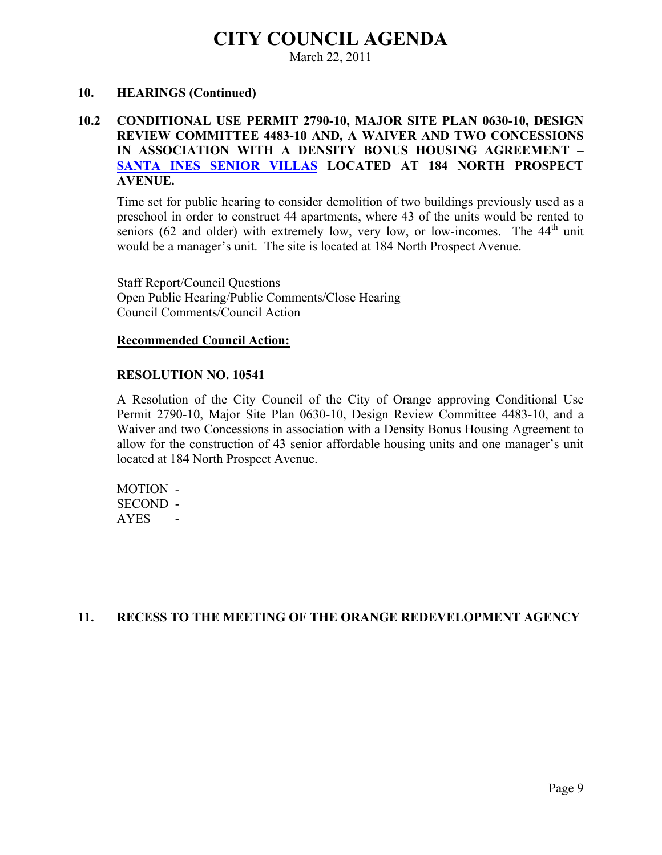March 22, 2011

### **10. HEARINGS (Continued)**

## **10.2 CONDITIONAL USE PERMIT 2790-10, MAJOR SITE PLAN 0630-10, DESIGN REVIEW COMMITTEE 4483-10 AND, A WAIVER AND TWO CONCESSIONS IN ASSOCIATION WITH A DENSITY BONUS HOUSING AGREEMENT – SANTA INES SENIOR VILLAS LOCATED AT 184 NORTH PROSPECT AVENUE.**

Time set for public hearing to consider demolition of two buildings previously used as a preschool in order to construct 44 apartments, where 43 of the units would be rented to seniors (62 and older) with extremely low, very low, or low-incomes. The  $44<sup>th</sup>$  unit would be a manager's unit. The site is located at 184 North Prospect Avenue.

Staff Report/Council Questions Open Public Hearing/Public Comments/Close Hearing Council Comments/Council Action

#### **Recommended Council Action:**

#### **RESOLUTION NO. 10541**

A Resolution of the City Council of the City of Orange approving Conditional Use Permit 2790-10, Major Site Plan 0630-10, Design Review Committee 4483-10, and a Waiver and two Concessions in association with a Density Bonus Housing Agreement to allow for the construction of 43 senior affordable housing units and one manager's unit located at 184 North Prospect Avenue.

MOTION - SECOND - AYES -

### **11. RECESS TO THE MEETING OF THE ORANGE REDEVELOPMENT AGENCY**